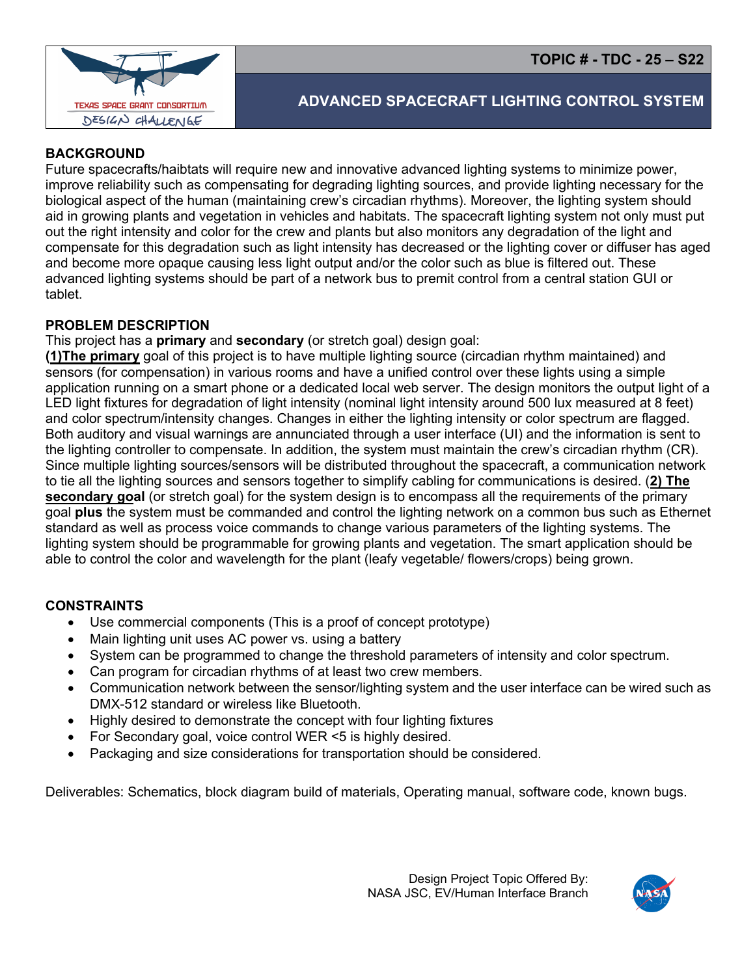

# **ADVANCED SPACECRAFT LIGHTING CONTROL SYSTEM**

## **BACKGROUND**

Future spacecrafts/haibtats will require new and innovative advanced lighting systems to minimize power, improve reliability such as compensating for degrading lighting sources, and provide lighting necessary for the biological aspect of the human (maintaining crew's circadian rhythms). Moreover, the lighting system should aid in growing plants and vegetation in vehicles and habitats. The spacecraft lighting system not only must put out the right intensity and color for the crew and plants but also monitors any degradation of the light and compensate for this degradation such as light intensity has decreased or the lighting cover or diffuser has aged and become more opaque causing less light output and/or the color such as blue is filtered out. These advanced lighting systems should be part of a network bus to premit control from a central station GUI or tablet.

### **PROBLEM DESCRIPTION**

#### This project has a **primary** and **secondary** (or stretch goal) design goal:

**(1)The primary** goal of this project is to have multiple lighting source (circadian rhythm maintained) and sensors (for compensation) in various rooms and have a unified control over these lights using a simple application running on a smart phone or a dedicated local web server. The design monitors the output light of a LED light fixtures for degradation of light intensity (nominal light intensity around 500 lux measured at 8 feet) and color spectrum/intensity changes. Changes in either the lighting intensity or color spectrum are flagged. Both auditory and visual warnings are annunciated through a user interface (UI) and the information is sent to the lighting controller to compensate. In addition, the system must maintain the crew's circadian rhythm (CR). Since multiple lighting sources/sensors will be distributed throughout the spacecraft, a communication network to tie all the lighting sources and sensors together to simplify cabling for communications is desired. (**2) The secondary goal** (or stretch goal) for the system design is to encompass all the requirements of the primary goal **plus** the system must be commanded and control the lighting network on a common bus such as Ethernet standard as well as process voice commands to change various parameters of the lighting systems. The lighting system should be programmable for growing plants and vegetation. The smart application should be able to control the color and wavelength for the plant (leafy vegetable/ flowers/crops) being grown.

### **CONSTRAINTS**

- Use commercial components (This is a proof of concept prototype)
- Main lighting unit uses AC power vs. using a battery
- System can be programmed to change the threshold parameters of intensity and color spectrum.
- Can program for circadian rhythms of at least two crew members.
- Communication network between the sensor/lighting system and the user interface can be wired such as DMX-512 standard or wireless like Bluetooth.
- Highly desired to demonstrate the concept with four lighting fixtures
- For Secondary goal, voice control WER <5 is highly desired.
- Packaging and size considerations for transportation should be considered.

Deliverables: Schematics, block diagram build of materials, Operating manual, software code, known bugs.